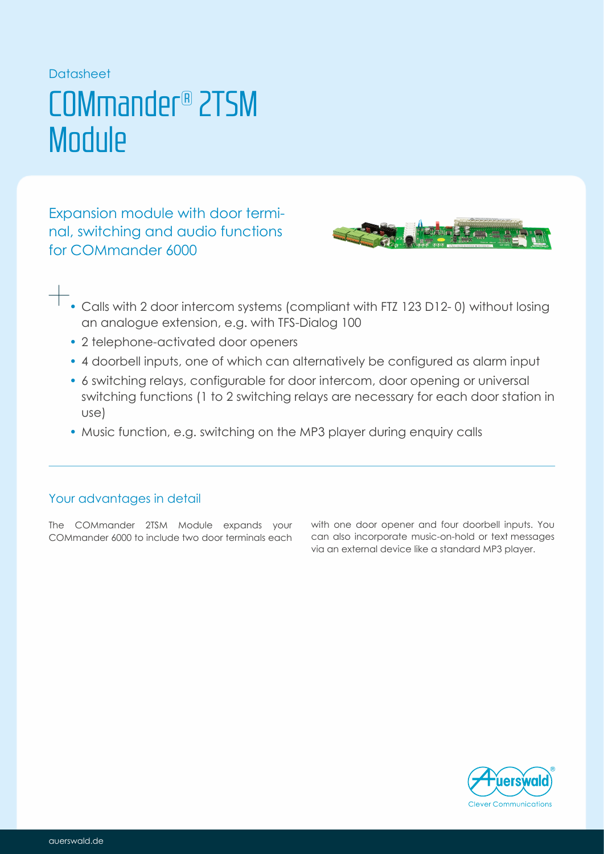### Datasheet

## COMmander® 2TSM **Module**

Expansion module with door terminal, switching and audio functions for COMmander 6000



- Calls with 2 door intercom systems (compliant with FTZ 123 D12- 0) without losing an analogue extension, e.g. with TFS-Dialog 100
- 2 telephone-activated door openers
- 4 doorbell inputs, one of which can alternatively be configured as alarm input
- 6 switching relays, configurable for door intercom, door opening or universal switching functions (1 to 2 switching relays are necessary for each door station in use)
- Music function, e.g. switching on the MP3 player during enquiry calls

## Your advantages in detail

The COMmander 2TSM Module expands your COMmander 6000 to include two door terminals each with one door opener and four doorbell inputs. You can also incorporate music-on-hold or text messages via an external device like a standard MP3 player.